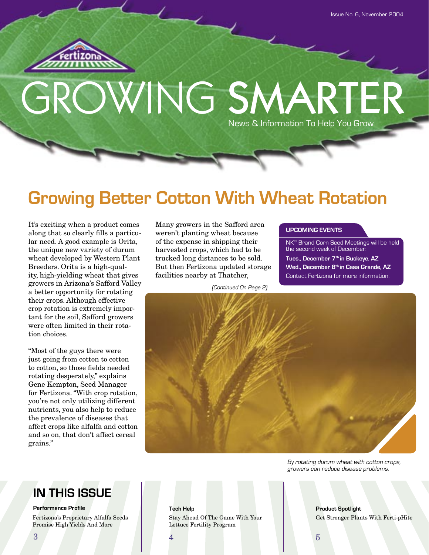

# OWING SMARTER News & Information To Help You Grow

# **Growing Better Cotton With Wheat Rotation**

It's exciting when a product comes along that so clearly fills a particular need. A good example is Orita, the unique new variety of durum wheat developed by Western Plant Breeders. Orita is a high-quality, high-yielding wheat that gives growers in Arizona's Safford Valley a better opportunity for rotating their crops. Although effective crop rotation is extremely important for the soil, Safford growers were often limited in their rotation choices.

"Most of the guys there were just going from cotton to cotton to cotton, so those fields needed rotating desperately," explains Gene Kempton, Seed Manager for Fertizona. "With crop rotation, you're not only utilizing different nutrients, you also help to reduce the prevalence of diseases that affect crops like alfalfa and cotton and so on, that don't affect cereal grains."

Many growers in the Safford area weren't planting wheat because of the expense in shipping their harvested crops, which had to be trucked long distances to be sold. But then Fertizona updated storage facilities nearby at Thatcher,

(Continued On Page 2)

#### **UPCOMING EVENTS**

NK® Brand Corn Seed Meetings will be held the second week of December: **Tues., December 7th in Buckeye, AZ Wed., December 8th in Casa Grande, AZ** Contact Fertizona for more information.



By rotating durum wheat with cotton crops, growers can reduce disease problems.

## **IN THIS ISSUE**

#### **Performance Profile**

Fertizona's Proprietary Alfalfa Seeds Promise High Yields And More

**Tech Help Product Spotlight** Stay Ahead Of The Game With Your Lettuce Fertility Program

Get Stronger Plants With Ferti-pHite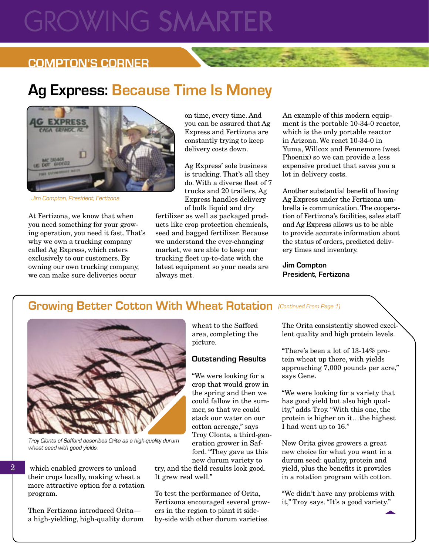# **GROWING SMARTE**

### **COMPTON'S CORNER**

# **Ag Express: Because Time Is Money**



Jim Compton, President, Fertizona

At Fertizona, we know that when you need something for your growing operation, you need it fast. That's why we own a trucking company called Ag Express, which caters exclusively to our customers. By owning our own trucking company, we can make sure deliveries occur

on time, every time. And you can be assured that Ag Express and Fertizona are constantly trying to keep delivery costs down.

Ag Express' sole business is trucking. That's all they do. With a diverse fleet of 7 trucks and 20 trailers, Ag Express handles delivery of bulk liquid and dry

fertilizer as well as packaged products like crop protection chemicals, seed and bagged fertilizer. Because we understand the ever-changing market, we are able to keep our trucking fleet up-to-date with the latest equipment so your needs are always met.

An example of this modern equipment is the portable 10-34-0 reactor, which is the only portable reactor in Arizona. We react 10-34-0 in Yuma, Willcox and Fennemore (west Phoenix) so we can provide a less expensive product that saves you a lot in delivery costs.

Another substantial benefit of having Ag Express under the Fertizona umbrella is communication. The cooperation of Fertizona's facilities, sales staff and Ag Express allows us to be able to provide accurate information about the status of orders, predicted delivery times and inventory.

**Jim Compton President, Fertizona**

### Growing Better Cotton With Wheat Rotation (Continued From Page 1)



Troy Clonts of Safford describes Orita as a high-quality durum wheat seed with good yields.

 which enabled growers to unload their crops locally, making wheat a more attractive option for a rotation program.

 $\overline{2}$ 

Then Fertizona introduced Orita a high-yielding, high-quality durum wheat to the Safford area, completing the picture.

#### **Outstanding Results**

"We were looking for a crop that would grow in the spring and then we could fallow in the summer, so that we could stack our water on our cotton acreage," says Troy Clonts, a third-generation grower in Safford. "They gave us this new durum variety to

try, and the field results look good. It grew real well."

To test the performance of Orita, Fertizona encouraged several growers in the region to plant it sideby-side with other durum varieties.

The Orita consistently showed excellent quality and high protein levels.

"There's been a lot of 13-14% protein wheat up there, with yields approaching 7,000 pounds per acre," says Gene.

"We were looking for a variety that has good yield but also high quality," adds Troy. "With this one, the protein is higher on it…the highest I had went up to 16."

New Orita gives growers a great new choice for what you want in a durum seed: quality, protein and yield, plus the benefits it provides in a rotation program with cotton.

"We didn't have any problems with it," Troy says. "It's a good variety."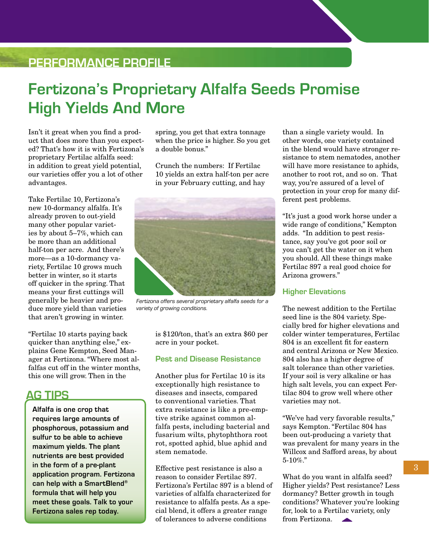## **PERFORMANCE PROFILE**

# **Fertizona's Proprietary Alfalfa Seeds Promise High Yields And More**

Isn't it great when you find a product that does more than you expected? That's how it is with Fertizona's proprietary Fertilac alfalfa seed: in addition to great yield potential, our varieties offer you a lot of other advantages.

Take Fertilac 10, Fertizona's new 10-dormancy alfalfa. It's already proven to out-yield many other popular varieties by about 5–7%, which can be more than an additional half-ton per acre. And there's more—as a 10-dormancy variety, Fertilac 10 grows much better in winter, so it starts off quicker in the spring. That means your first cuttings will generally be heavier and produce more yield than varieties that aren't growing in winter.

"Fertilac 10 starts paying back quicker than anything else," explains Gene Kempton, Seed Manager at Fertizona. "Where most alfalfas cut off in the winter months, this one will grow. Then in the

### **AG TIPS**

**Alfalfa is one crop that requires large amounts of phosphorous, potassium and sulfur to be able to achieve maximum yields. The plant nutrients are best provided in the form of a pre-plant application program. Fertizona can help with a SmartBlend® formula that will help you meet these goals. Talk to your Fertizona sales rep today.**

spring, you get that extra tonnage when the price is higher. So you get a double bonus."

Crunch the numbers: If Fertilac 10 yields an extra half-ton per acre in your February cutting, and hay



Fertizona offers several proprietary alfalfa seeds for a variety of growing conditions.

is \$120/ton, that's an extra \$60 per acre in your pocket.

#### **Pest and Disease Resistance**

Another plus for Fertilac 10 is its exceptionally high resistance to diseases and insects, compared to conventional varieties. That extra resistance is like a pre-emptive strike against common alfalfa pests, including bacterial and fusarium wilts, phytophthora root rot, spotted aphid, blue aphid and stem nematode.

Effective pest resistance is also a reason to consider Fertilac 897. Fertizona's Fertilac 897 is a blend of varieties of alfalfa characterized for resistance to alfalfa pests. As a special blend, it offers a greater range of tolerances to adverse conditions

than a single variety would. In other words, one variety contained in the blend would have stronger resistance to stem nematodes, another will have more resistance to aphids, another to root rot, and so on. That way, you're assured of a level of protection in your crop for many different pest problems.

"It's just a good work horse under a wide range of conditions," Kempton adds. "In addition to pest resistance, say you've got poor soil or you can't get the water on it when you should. All these things make Fertilac 897 a real good choice for Arizona growers."

#### **Higher Elevations**

The newest addition to the Fertilac seed line is the 804 variety. Specially bred for higher elevations and colder winter temperatures, Fertilac 804 is an excellent fit for eastern and central Arizona or New Mexico. 804 also has a higher degree of salt tolerance than other varieties. If your soil is very alkaline or has high salt levels, you can expect Fertilac 804 to grow well where other varieties may not.

"We've had very favorable results," says Kempton. "Fertilac 804 has been out-producing a variety that was prevalent for many years in the Willcox and Safford areas, by about 5-10%."

What do you want in alfalfa seed? Higher yields? Pest resistance? Less dormancy? Better growth in tough conditions? Whatever you're looking for, look to a Fertilac variety, only from Fertizona.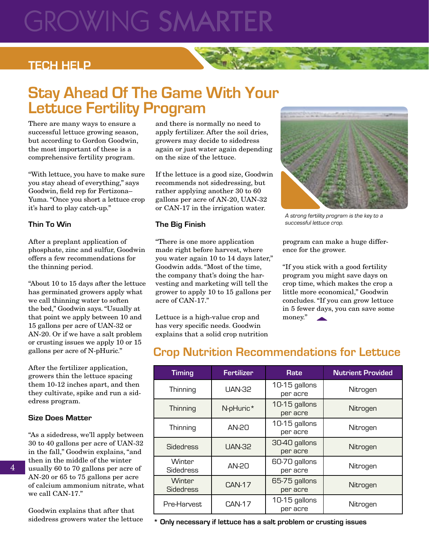# GROWING SMARTI

### **TECH HELP**

## **Stay Ahead Of The Game With Your Lettuce Fertility Program**

There are many ways to ensure a successful lettuce growing season, but according to Gordon Goodwin, the most important of these is a comprehensive fertility program.

"With lettuce, you have to make sure you stay ahead of everything," says Goodwin, field rep for Fertizona-Yuma. "Once you short a lettuce crop it's hard to play catch-up."

#### **Thin To Win**

After a preplant application of phosphate, zinc and sulfur, Goodwin offers a few recommendations for the thinning period.

"About 10 to 15 days after the lettuce has germinated growers apply what we call thinning water to soften the bed," Goodwin says. "Usually at that point we apply between 10 and 15 gallons per acre of UAN-32 or AN-20. Or if we have a salt problem or crusting issues we apply 10 or 15 gallons per acre of N-pHuric."

After the fertilizer application, growers thin the lettuce spacing them 10-12 inches apart, and then they cultivate, spike and run a sidedress program.

#### **Size Does Matter**

"As a sidedress, we'll apply between 30 to 40 gallons per acre of UAN-32 in the fall," Goodwin explains, "and then in the middle of the winter usually 60 to 70 gallons per acre of AN-20 or 65 to 75 gallons per acre of calcium ammonium nitrate, what we call CAN-17."

Goodwin explains that after that sidedress growers water the lettuce and there is normally no need to apply fertilizer. After the soil dries, growers may decide to sidedress again or just water again depending on the size of the lettuce.

If the lettuce is a good size, Goodwin recommends not sidedressing, but rather applying another 30 to 60 gallons per acre of AN-20, UAN-32 or CAN-17 in the irrigation water.

#### **The Big Finish**

"There is one more application made right before harvest, where you water again 10 to 14 days later," Goodwin adds. "Most of the time, the company that's doing the harvesting and marketing will tell the grower to apply 10 to 15 gallons per acre of CAN-17."

Lettuce is a high-value crop and has very specific needs. Goodwin explains that a solid crop nutrition



A strong fertility program is the key to a successful lettuce crop.

program can make a huge difference for the grower.

"If you stick with a good fertility program you might save days on crop time, which makes the crop a little more economical," Goodwin concludes. "If you can grow lettuce in 5 fewer days, you can save some money."

## **Crop Nutrition Recommendations for Lettuce**

| <b>Timing</b>              | <b>Fertilizer</b> | Rate                      | <b>Nutrient Provided</b> |
|----------------------------|-------------------|---------------------------|--------------------------|
| Thinning                   | <b>UAN-32</b>     | 10-15 gallons<br>per acre | Nitrogen                 |
| Thinning                   | N-pHuric*         | 10-15 gallons<br>per acre | Nitrogen                 |
| Thinning                   | AN-20             | 10-15 gallons<br>per acre | Nitrogen                 |
| <b>Sidedress</b>           | <b>UAN-32</b>     | 30-40 gallons<br>per acre | Nitrogen                 |
| Winter<br><b>Sidedress</b> | AN-20             | 60-70 gallons<br>per acre | Nitrogen                 |
| Winter<br><b>Sidedress</b> | <b>CAN-17</b>     | 65-75 gallons<br>per acre | Nitrogen                 |
| Pre-Harvest                | <b>CAN-17</b>     | 10-15 gallons<br>per acre | Nitrogen                 |

**\* Only necessary if lettuce has a salt problem or crusting issues**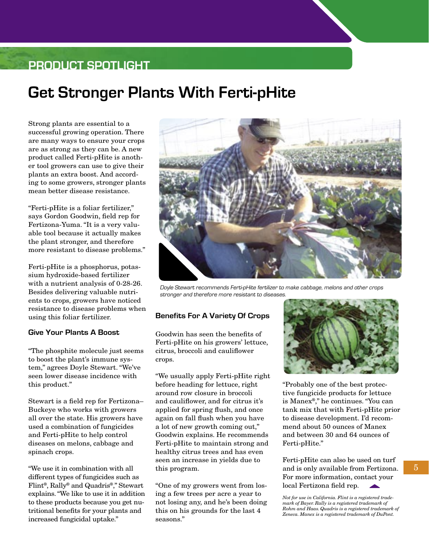### **PRODUCT SPOTLIGHT**

# **Get Stronger Plants With Ferti-pHite**

Strong plants are essential to a successful growing operation. There are many ways to ensure your crops are as strong as they can be. A new product called Ferti-pHite is another tool growers can use to give their plants an extra boost. And according to some growers, stronger plants mean better disease resistance.

"Ferti-pHite is a foliar fertilizer," says Gordon Goodwin, field rep for Fertizona-Yuma. "It is a very valuable tool because it actually makes the plant stronger, and therefore more resistant to disease problems."

Ferti-pHite is a phosphorus, potassium hydroxide-based fertilizer with a nutrient analysis of 0-28-26. Besides delivering valuable nutrients to crops, growers have noticed resistance to disease problems when using this foliar fertilizer.

#### **Give Your Plants A Boost**

"The phosphite molecule just seems to boost the plant's immune system," agrees Doyle Stewart. "We've seen lower disease incidence with this product."

Stewart is a field rep for Fertizona– Buckeye who works with growers all over the state. His growers have used a combination of fungicides and Ferti-pHite to help control diseases on melons, cabbage and spinach crops.

"We use it in combination with all different types of fungicides such as Flint®, Rally® and Quadris®," Stewart explains. "We like to use it in addition to these products because you get nutritional benefits for your plants and increased fungicidal uptake."



Doyle Stewart recommends Ferti-pHite fertilizer to make cabbage, melons and other crops stronger and therefore more resistant to diseases.

#### **Benefits For A Variety Of Crops**

Goodwin has seen the benefits of Ferti-pHite on his growers' lettuce, citrus, broccoli and cauliflower crops.

"We usually apply Ferti-pHite right before heading for lettuce, right around row closure in broccoli and cauliflower, and for citrus it's applied for spring flush, and once again on fall flush when you have a lot of new growth coming out," Goodwin explains. He recommends Ferti-pHite to maintain strong and healthy citrus trees and has even seen an increase in yields due to this program.

"One of my growers went from losing a few trees per acre a year to not losing any, and he's been doing this on his grounds for the last 4 seasons."



"Probably one of the best protective fungicide products for lettuce is Manex®," he continues. "You can tank mix that with Ferti-pHite prior to disease development. I'd recommend about 50 ounces of Manex and between 30 and 64 ounces of Ferti-pHite."

Ferti-pHite can also be used on turf and is only available from Fertizona. For more information, contact your local Fertizona field rep.

*Not for use in California. Flint is a registered trademark of Bayer. Rally is a registered trademark of Rohm and Haas. Quadris is a registered trademark of Zeneca. Manex is a registered trademark of DuPont.*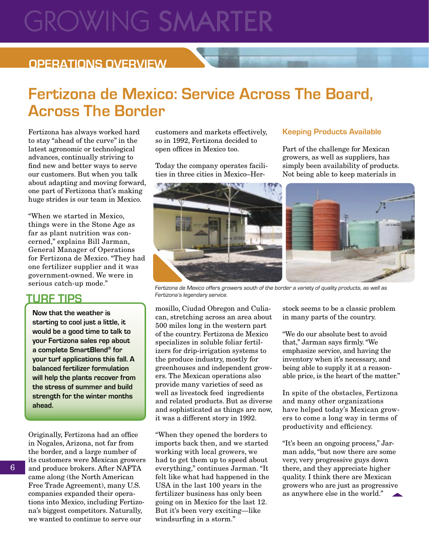# **GROWING SMARTE**

### **OPERATIONS OVERVIEW**

# **Fertizona de Mexico: Service Across The Board, Across The Border**

Fertizona has always worked hard to stay "ahead of the curve" in the latest agronomic or technological advances, continually striving to find new and better ways to serve our customers. But when you talk about adapting and moving forward, one part of Fertizona that's making huge strides is our team in Mexico.

"When we started in Mexico, things were in the Stone Age as far as plant nutrition was concerned," explains Bill Jarman, General Manager of Operations for Fertizona de Mexico. "They had one fertilizer supplier and it was government-owned. We were in serious catch-up mode."

#### **TURF TIPS**

**Now that the weather is starting to cool just a little, it would be a good time to talk to your Fertizona sales rep about a complete SmartBlend® for your turf applications this fall. A balanced fertilizer formulation will help the plants recover from the stress of summer and build strength for the winter months ahead.**

Originally, Fertizona had an office in Nogales, Arizona, not far from the border, and a large number of its customers were Mexican growers and produce brokers. After NAFTA came along (the North American Free Trade Agreement), many U.S. companies expanded their operations into Mexico, including Fertizona's biggest competitors. Naturally, we wanted to continue to serve our

customers and markets effectively, so in 1992, Fertizona decided to open offices in Mexico too.

Today the company operates facilities in three cities in Mexico–Her-

#### **Keeping Products Available**

Part of the challenge for Mexican growers, as well as suppliers, has simply been availability of products. Not being able to keep materials in



Fertizona de Mexico offers growers south of the border a variety of quality products, as well as Fertizona's legendary service.

mosillo, Ciudad Obregon and Culiacan, stretching across an area about 500 miles long in the western part of the country. Fertizona de Mexico specializes in soluble foliar fertilizers for drip-irrigation systems to the produce industry, mostly for greenhouses and independent growers. The Mexican operations also provide many varieties of seed as well as livestock feed ingredients and related products. But as diverse and sophisticated as things are now, it was a different story in 1992.

"When they opened the borders to imports back then, and we started working with local growers, we had to get them up to speed about everything," continues Jarman. "It felt like what had happened in the USA in the last 100 years in the fertilizer business has only been going on in Mexico for the last 12. But it's been very exciting—like windsurfing in a storm."

stock seems to be a classic problem in many parts of the country.

"We do our absolute best to avoid that," Jarman says firmly. "We emphasize service, and having the inventory when it's necessary, and being able to supply it at a reasonable price, is the heart of the matter."

In spite of the obstacles, Fertizona and many other organizations have helped today's Mexican growers to come a long way in terms of productivity and efficiency.

"It's been an ongoing process," Jarman adds, "but now there are some very, very progressive guys down there, and they appreciate higher quality. I think there are Mexican growers who are just as progressive as anywhere else in the world."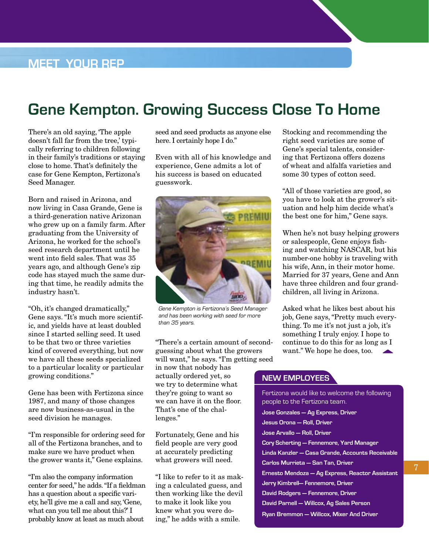# **Gene Kempton. Growing Success Close To Home**

There's an old saying, 'The apple doesn't fall far from the tree,' typically referring to children following in their family's traditions or staying close to home. That's definitely the case for Gene Kempton, Fertizona's Seed Manager.

Born and raised in Arizona, and now living in Casa Grande, Gene is a third-generation native Arizonan who grew up on a family farm. After graduating from the University of Arizona, he worked for the school's seed research department until he went into field sales. That was 35 years ago, and although Gene's zip code has stayed much the same during that time, he readily admits the industry hasn't.

"Oh, it's changed dramatically," Gene says. "It's much more scientific, and yields have at least doubled since I started selling seed. It used to be that two or three varieties kind of covered everything, but now we have all these seeds specialized to a particular locality or particular growing conditions."

Gene has been with Fertizona since 1987, and many of those changes are now business-as-usual in the seed division he manages.

"I'm responsible for ordering seed for all of the Fertizona branches, and to make sure we have product when the grower wants it," Gene explains.

"I'm also the company information center for seed," he adds. "If a fieldman has a question about a specific variety, he'll give me a call and say, 'Gene, what can you tell me about this?' I probably know at least as much about

seed and seed products as anyone else here. I certainly hope I do."

Even with all of his knowledge and experience, Gene admits a lot of his success is based on educated guesswork.



Gene Kempton is Fertizona's Seed Manager and has been working with seed for more than 35 years.

"There's a certain amount of secondguessing about what the growers will want," he says. "I'm getting seed in now that nobody has actually ordered yet, so

we try to determine what they're going to want so we can have it on the floor. That's one of the challenges."

Fortunately, Gene and his field people are very good at accurately predicting what growers will need.

"I like to refer to it as making a calculated guess, and then working like the devil to make it look like you knew what you were doing," he adds with a smile.

Stocking and recommending the right seed varieties are some of Gene's special talents, considering that Fertizona offers dozens of wheat and alfalfa varieties and some 30 types of cotton seed.

"All of those varieties are good, so you have to look at the grower's situation and help him decide what's the best one for him," Gene says.

When he's not busy helping growers or salespeople, Gene enjoys fishing and watching NASCAR, but his number-one hobby is traveling with his wife, Ann, in their motor home. Married for 37 years, Gene and Ann have three children and four grandchildren, all living in Arizona.

Asked what he likes best about his job, Gene says, "Pretty much everything. To me it's not just a job, it's something I truly enjoy. I hope to continue to do this for as long as I want." We hope he does, too.

#### **NEW EMPLOYEES**

Fertizona would like to welcome the following people to the Fertizona team. **Jose Gonzales — Ag Express, Driver Jesus Orona — Roll, Driver Jose Arvallo — Roll, Driver Cory Scherting — Fennemore, Yard Manager Linda Kanzler — Casa Grande, Accounts Receivable Carlos Murrieta — San Tan, Driver Ernesto Mendoza — Ag Express, Reactor Assistant Jerry Kimbrell— Fennemore, Driver David Rodgers — Fennemore, Driver David Parnell — Willcox, Ag Sales Person Ryan Bremmon — Willcox, Mixer And Driver**